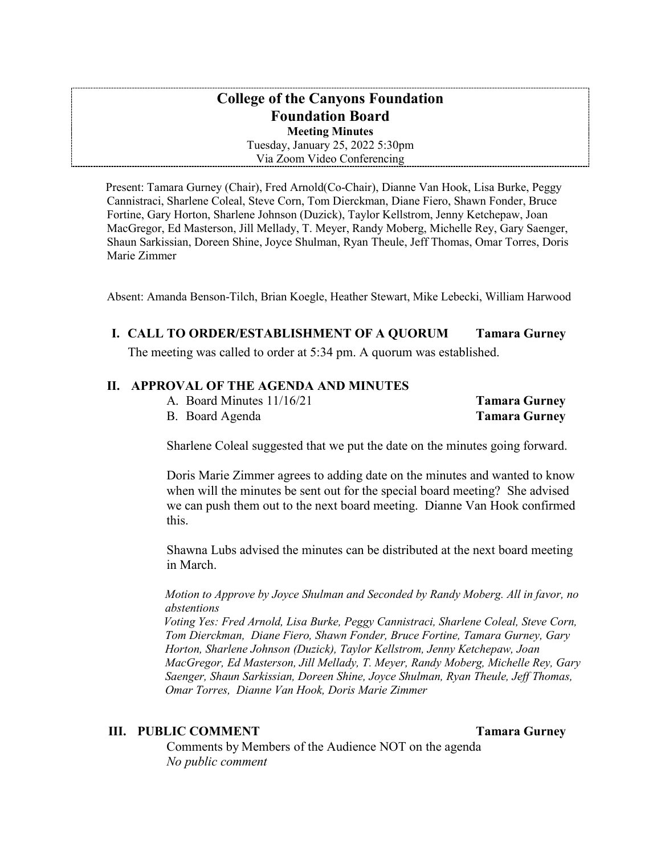### **College of the Canyons Foundation Foundation Board Meeting Minutes**

Tuesday, January 25, 2022 5:30pm Via Zoom Video Conferencing

Present: Tamara Gurney (Chair), Fred Arnold(Co-Chair), Dianne Van Hook, Lisa Burke, Peggy Cannistraci, Sharlene Coleal, Steve Corn, Tom Dierckman, Diane Fiero, Shawn Fonder, Bruce Fortine, Gary Horton, Sharlene Johnson (Duzick), Taylor Kellstrom, Jenny Ketchepaw, Joan MacGregor, Ed Masterson, Jill Mellady, T. Meyer, Randy Moberg, Michelle Rey, Gary Saenger, Shaun Sarkissian, Doreen Shine, Joyce Shulman, Ryan Theule, Jeff Thomas, Omar Torres, Doris Marie Zimmer

Absent: Amanda Benson-Tilch, Brian Koegle, Heather Stewart, Mike Lebecki, William Harwood

### **I. CALL TO ORDER/ESTABLISHMENT OF A QUORUM Tamara Gurney**

The meeting was called to order at 5:34 pm. A quorum was established.

### **II. APPROVAL OF THE AGENDA AND MINUTES**

A. Board Minutes 11/16/21 **Tamara Gurney** 

B. Board Agenda **Tamara Gurney** 

Sharlene Coleal suggested that we put the date on the minutes going forward.

 Doris Marie Zimmer agrees to adding date on the minutes and wanted to know when will the minutes be sent out for the special board meeting? She advised we can push them out to the next board meeting. Dianne Van Hook confirmed this.

Shawna Lubs advised the minutes can be distributed at the next board meeting in March.

*Motion to Approve by Joyce Shulman and Seconded by Randy Moberg. All in favor, no abstentions* 

*Voting Yes: Fred Arnold, Lisa Burke, Peggy Cannistraci, Sharlene Coleal, Steve Corn, Tom Dierckman, Diane Fiero, Shawn Fonder, Bruce Fortine, Tamara Gurney, Gary Horton, Sharlene Johnson (Duzick), Taylor Kellstrom, Jenny Ketchepaw, Joan MacGregor, Ed Masterson, Jill Mellady, T. Meyer, Randy Moberg, Michelle Rey, Gary Saenger, Shaun Sarkissian, Doreen Shine, Joyce Shulman, Ryan Theule, Jeff Thomas, Omar Torres, Dianne Van Hook, Doris Marie Zimmer* 

### **III. PUBLIC COMMENT** Tamara Gurney

 Comments by Members of the Audience NOT on the agenda *No public comment*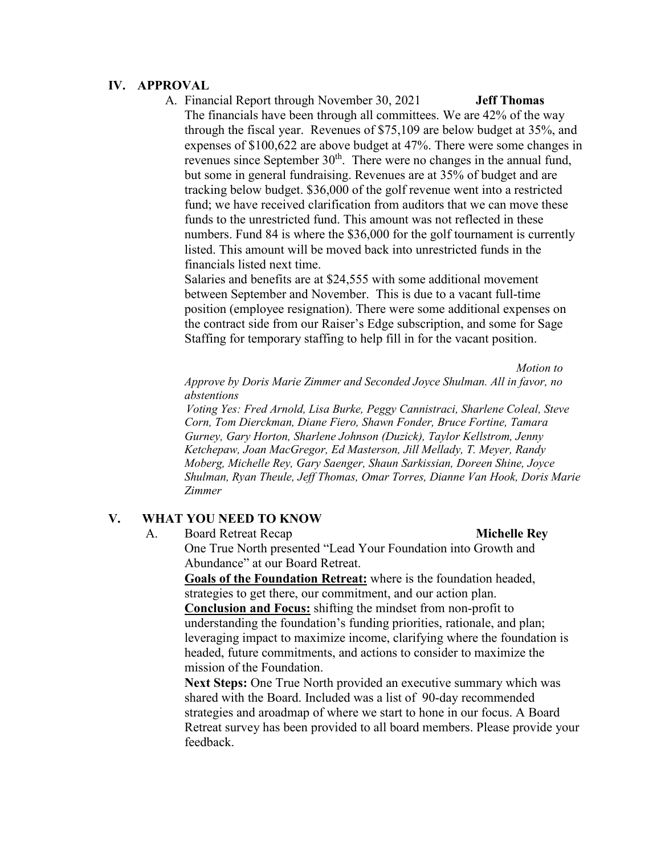### **IV. APPROVAL**

 A. Financial Report through November 30, 2021 **Jeff Thomas**  through the fiscal year. Revenues of \$75,109 are below budget at 35%, and but some in general fundraising. Revenues are at 35% of budget and are tracking below budget. \$36,000 of the golf revenue went into a restricted numbers. Fund 84 is where the \$36,000 for the golf tournament is currently financials listed next time. The financials have been through all committees. We are 42% of the way expenses of \$100,622 are above budget at 47%. There were some changes in revenues since September  $30<sup>th</sup>$ . There were no changes in the annual fund, fund; we have received clarification from auditors that we can move these funds to the unrestricted fund. This amount was not reflected in these listed. This amount will be moved back into unrestricted funds in the

financials listed next time.<br>Salaries and benefits are at \$24,555 with some additional movement the contract side from our Raiser's Edge subscription, and some for Sage between September and November. This is due to a vacant full-time position (employee resignation). There were some additional expenses on Staffing for temporary staffing to help fill in for the vacant position.

*Motion to* 

 *Approve by Doris Marie Zimmer and Seconded Joyce Shulman. All in favor, no abstentions* 

*Voting Yes: Fred Arnold, Lisa Burke, Peggy Cannistraci, Sharlene Coleal, Steve Corn, Tom Dierckman, Diane Fiero, Shawn Fonder, Bruce Fortine, Tamara Gurney, Gary Horton, Sharlene Johnson (Duzick), Taylor Kellstrom, Jenny Ketchepaw, Joan MacGregor, Ed Masterson, Jill Mellady, T. Meyer, Randy Moberg, Michelle Rey, Gary Saenger, Shaun Sarkissian, Doreen Shine, Joyce Shulman, Ryan Theule, Jeff Thomas, Omar Torres, Dianne Van Hook, Doris Marie Zimmer* 

### **V. WHAT YOU NEED TO KNOW**

A. Board Retreat Recap **Michelle Rey** 

 Abundance" at our Board Retreat. One True North presented "Lead Your Foundation into Growth and

 strategies to get there, our commitment, and our action plan. understanding the foundation's funding priorities, rationale, and plan; **Goals of the Foundation Retreat:** where is the foundation headed, **Conclusion and Focus:** shifting the mindset from non-profit to leveraging impact to maximize income, clarifying where the foundation is headed, future commitments, and actions to consider to maximize the mission of the Foundation.

 shared with the Board. Included was a list of 90-day recommended Retreat survey has been provided to all board members. Please provide your **Next Steps:** One True North provided an executive summary which was strategies and aroadmap of where we start to hone in our focus. A Board feedback.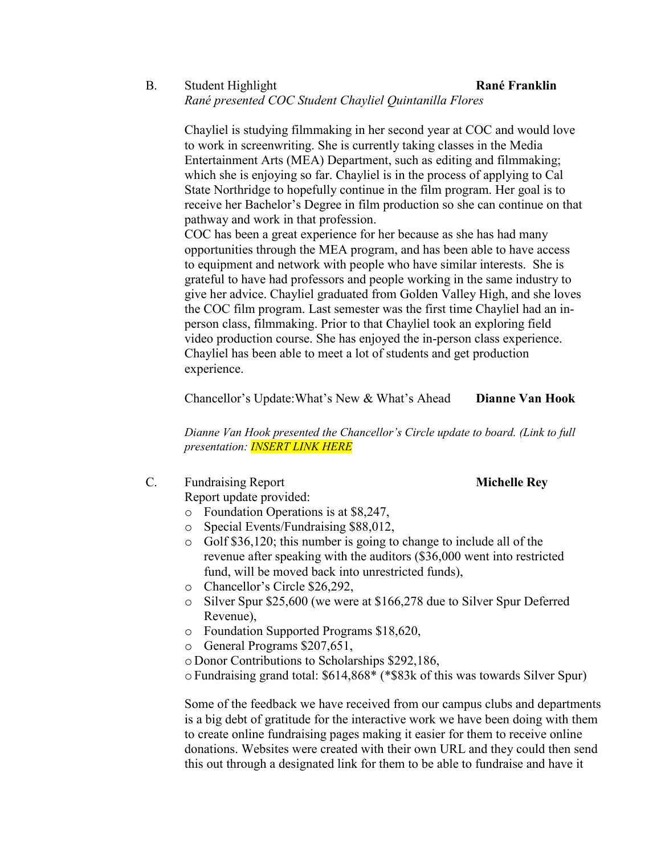### B. Student Highlight **Rané Franklin**  *Rané presented COC Student Chayliel Quintanilla Flores*

 Chayliel is studying filmmaking in her second year at COC and would love Entertainment Arts (MEA) Department, such as editing and filmmaking; which she is enjoying so far. Chayliel is in the process of applying to Cal State Northridge to hopefully continue in the film program. Her goal is to receive her Bachelor's Degree in film production so she can continue on that to work in screenwriting. She is currently taking classes in the Media pathway and work in that profession.

 COC has been a great experience for her because as she has had many opportunities through the MEA program, and has been able to have access to equipment and network with people who have similar interests. She is grateful to have had professors and people working in the same industry to the COC film program. Last semester was the first time Chayliel had an ingive her advice. Chayliel graduated from Golden Valley High, and she loves person class, filmmaking. Prior to that Chayliel took an exploring field video production course. She has enjoyed the in-person class experience. Chayliel has been able to meet a lot of students and get production experience.

Chancellor's Update:What's New & What's Ahead **Dianne Van Hook** 

*Dianne Van Hook presented the Chancellor's Circle update to board. (Link to full presentation: INSERT LINK HERE* 

C. Fundraising Report **Michelle Rey** 

Report update provided:

- o Foundation Operations is at \$8,247,
- o Special Events/Fundraising \$88,012,
- revenue after speaking with the auditors (\$36,000 went into restricted o Golf \$36,120; this number is going to change to include all of the fund, will be moved back into unrestricted funds),
- o Chancellor's Circle \$26,292,
- o Silver Spur \$25,600 (we were at \$166,278 due to Silver Spur Deferred Revenue),
- o Foundation Supported Programs \$18,620,
- o General Programs \$207,651,
- o Donor Contributions to Scholarships \$292,186,
- 

 <sup>o</sup>Fundraising grand total: \$614,868\* (\*\$83k of this was towards Silver Spur) Some of the feedback we have received from our campus clubs and departments Some of the feedback we have received from our campus clubs and departments is a big debt of gratitude for the interactive work we have been doing with them donations. Websites were created with their own URL and they could then send to create online fundraising pages making it easier for them to receive online this out through a designated link for them to be able to fundraise and have it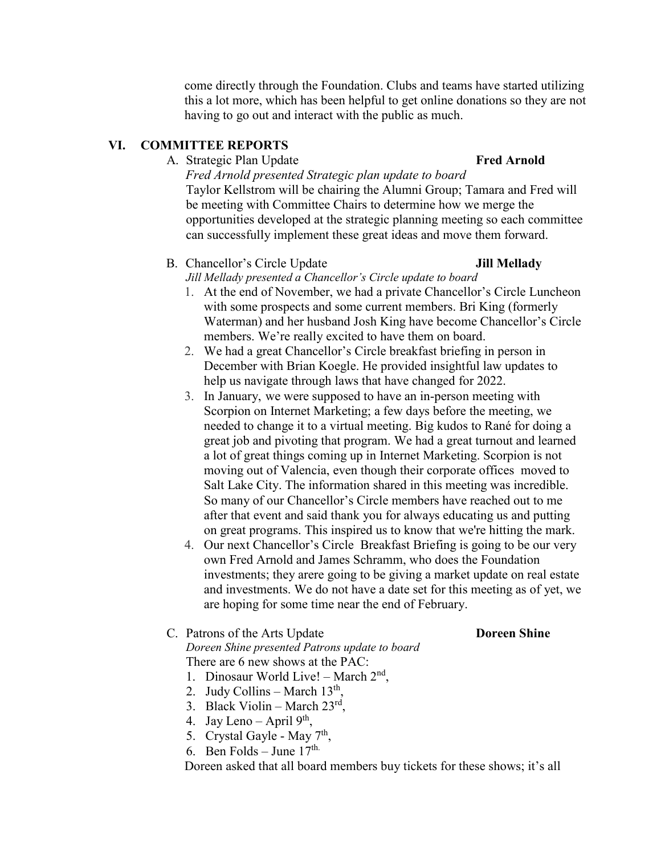this a lot more, which has been helpful to get online donations so they are not come directly through the Foundation. Clubs and teams have started utilizing having to go out and interact with the public as much.

### **VI. COMMITTEE REPORTS**

### A. Strategic Plan Update **Fred Arnold Fred Arnold**

 opportunities developed at the strategic planning meeting so each committee *Fred Arnold presented Strategic plan update to board*  Taylor Kellstrom will be chairing the Alumni Group; Tamara and Fred will be meeting with Committee Chairs to determine how we merge the can successfully implement these great ideas and move them forward.

### B. Chancellor's Circle Update **Jill Mellady**

 *Jill Mellady presented a Chancellor's Circle update to board* 

- 1. At the end of November, we had a private Chancellor's Circle Luncheon with some prospects and some current members. Bri King (formerly Waterman) and her husband Josh King have become Chancellor's Circle members. We're really excited to have them on board.
- 2. We had a great Chancellor's Circle breakfast briefing in person in December with Brian Koegle. He provided insightful law updates to help us navigate through laws that have changed for 2022.
- needed to change it to a virtual meeting. Big kudos to Rané for doing a great job and pivoting that program. We had a great turnout and learned So many of our Chancellor's Circle members have reached out to me after that event and said thank you for always educating us and putting 3. In January, we were supposed to have an in-person meeting with Scorpion on Internet Marketing; a few days before the meeting, we a lot of great things coming up in Internet Marketing. Scorpion is not moving out of Valencia, even though their corporate offices moved to Salt Lake City. The information shared in this meeting was incredible. on great programs. This inspired us to know that we're hitting the mark.
- investments; they arere going to be giving a market update on real estate and investments. We do not have a date set for this meeting as of yet, we are hoping for some time near the end of February. 4. Our next Chancellor's Circle Breakfast Briefing is going to be our very own Fred Arnold and James Schramm, who does the Foundation

### C. Patrons of the Arts Update **Doreen Shine**  *Doreen Shine presented Patrons update to board*  There are 6 new shows at the PAC: There are 6 new shows at the PAC:<br>1. Dinosaur World Live! – March  $2<sup>nd</sup>$ ,

- 
- 2. Judy Collins March  $13<sup>th</sup>$ ,
- 3. Black Violin March  $23^{\text{rd}}$ ,
- 4. Jay Leno April  $9<sup>th</sup>$ ,
- 5. Crystal Gayle May 7<sup>th</sup>,
- 6. Ben Folds June  $17^{\text{th}}$ .

Doreen asked that all board members buy tickets for these shows; it's all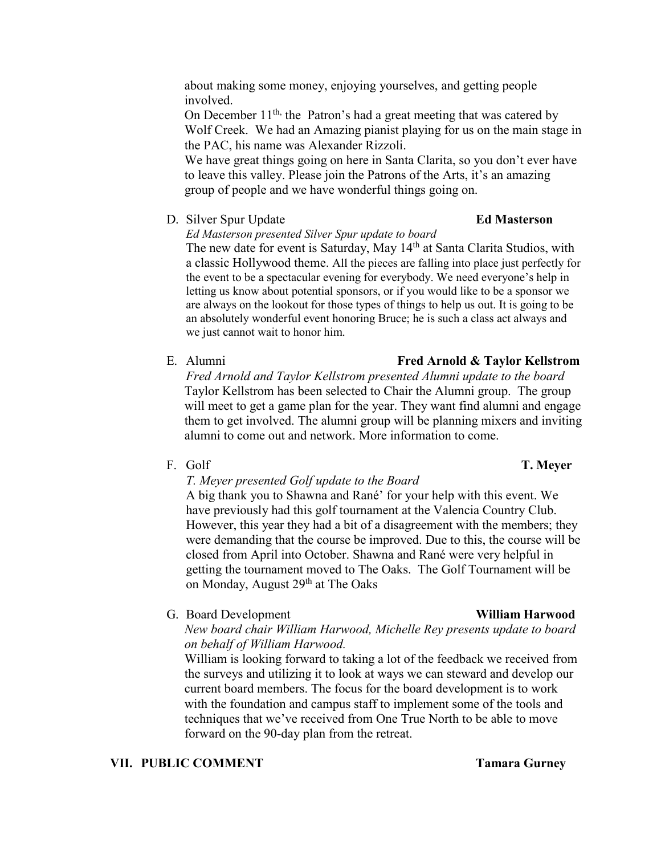### about making some money, enjoying yourselves, and getting people involved.

On December 11<sup>th,</sup> the Patron's had a great meeting that was catered by Wolf Creek. We had an Amazing pianist playing for us on the main stage in the PAC, his name was Alexander Rizzoli.

 We have great things going on here in Santa Clarita, so you don't ever have group of people and we have wonderful things going on. to leave this valley. Please join the Patrons of the Arts, it's an amazing

D. Silver Spur Update **Ed Masterson** 

*Ed Masterson presented Silver Spur update to board* 

 a classic Hollywood theme. All the pieces are falling into place just perfectly for the event to be a spectacular evening for everybody. We need everyone's help in letting us know about potential sponsors, or if you would like to be a sponsor we are always on the lookout for those types of things to help us out. It is going to be an absolutely wonderful event honoring Bruce; he is such a class act always and we just cannot wait to honor him. The new date for event is Saturday, May 14<sup>th</sup> at Santa Clarita Studios, with

E. Alumni

### will meet to get a game plan for the year. They want find alumni and engage *Fred Arnold and Taylor Kellstrom presented Alumni update to the board*  Taylor Kellstrom has been selected to Chair the Alumni group. The group them to get involved. The alumni group will be planning mixers and inviting alumni to come out and network. More information to come.

### F. Golf **T. Meyer**

## *T. Meyer presented Golf update to the Board*

 A big thank you to Shawna and Rané' for your help with this event. We However, this year they had a bit of a disagreement with the members; they on Monday, August 29<sup>th</sup> at The Oaks have previously had this golf tournament at the Valencia Country Club. were demanding that the course be improved. Due to this, the course will be closed from April into October. Shawna and Rané were very helpful in getting the tournament moved to The Oaks. The Golf Tournament will be

**G.** Board Development

 *on behalf of William Harwood. New board chair William Harwood, Michelle Rey presents update to board* 

 current board members. The focus for the board development is to work techniques that we've received from One True North to be able to move William is looking forward to taking a lot of the feedback we received from the surveys and utilizing it to look at ways we can steward and develop our with the foundation and campus staff to implement some of the tools and forward on the 90-day plan from the retreat.

### **VII. PUBLIC COMMENT** Tamara Gurney

# **Fred Arnold & Taylor Kellstrom**

# **William Harwood**